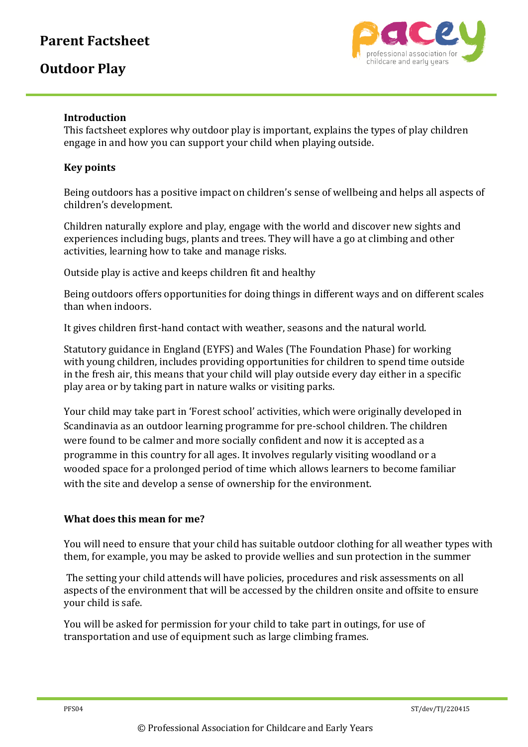# **Parent Factsheet**

## **Outdoor Play**



#### **Introduction**

This factsheet explores why outdoor play is important, explains the types of play children engage in and how you can support your child when playing outside.

#### **Key points**

Being outdoors has a positive impact on children's sense of wellbeing and helps all aspects of children's development.

Children naturally explore and play, engage with the world and discover new sights and experiences including bugs, plants and trees. They will have a go at climbing and other activities, learning how to take and manage risks.

Outside play is active and keeps children fit and healthy

Being outdoors offers opportunities for doing things in different ways and on different scales than when indoors.

It gives children first-hand contact with weather, seasons and the natural world.

Statutory guidance in England (EYFS) and Wales (The Foundation Phase) for working with young children, includes providing opportunities for children to spend time outside in the fresh air, this means that your child will play outside every day either in a specific play area or by taking part in nature walks or visiting parks.

Your child may take part in 'Forest school' activities, which were originally developed in Scandinavia as an outdoor learning programme for pre‐school children. The children were found to be calmer and more socially confident and now it is accepted as a programme in this country for all ages. It involves regularly visiting woodland or a wooded space for a prolonged period of time which allows learners to become familiar with the site and develop a sense of ownership for the environment.

#### **What does this mean for me?**

You will need to ensure that your child has suitable outdoor clothing for all weather types with them, for example, you may be asked to provide wellies and sun protection in the summer

The setting your child attends will have policies, procedures and risk assessments on all aspects of the environment that will be accessed by the children onsite and offsite to ensure your child is safe.

You will be asked for permission for your child to take part in outings, for use of transportation and use of equipment such as large climbing frames.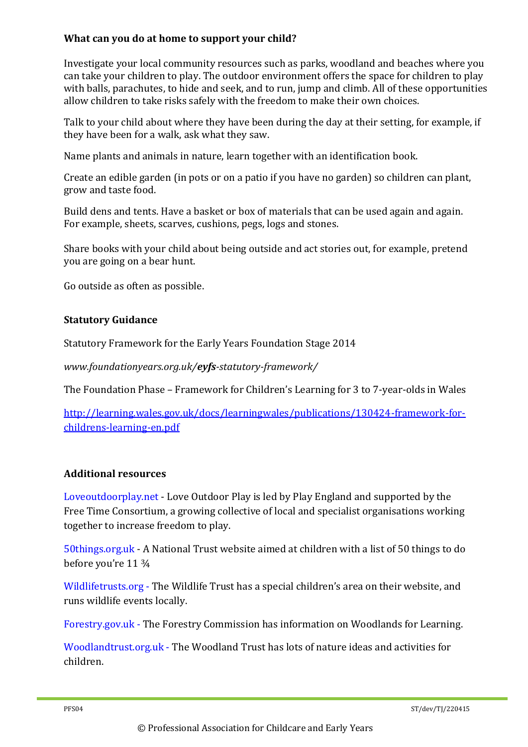#### **What can you do at home to support your child?**

Investigate your local community resources such as parks, woodland and beaches where you can take your children to play. The outdoor environment offers the space for children to play with balls, parachutes, to hide and seek, and to run, jump and climb. All of these opportunities allow children to take risks safely with the freedom to make their own choices.

Talk to your child about where they have been during the day at their setting, for example, if they have been for a walk, ask what they saw.

Name plants and animals in nature, learn together with an identification book.

Create an edible garden (in pots or on a patio if you have no garden) so children can plant, grow and taste food.

Build dens and tents. Have a basket or box of materials that can be used again and again. For example, sheets, scarves, cushions, pegs, logs and stones.

Share books with your child about being outside and act stories out, for example, pretend you are going on a bear hunt.

Go outside as often as possible.

#### **Statutory Guidance**

Statutory Framework for the Early Years Foundation Stage 2014

*www.foundationyears.org.uk/eyfs-statutory-framework/*

The Foundation Phase – Framework for Children's Learning for 3 to 7‐year‐olds in Wales

[http://learning.wales.gov.uk/docs/learningwales/publications/130424-framework-for](http://learning.wales.gov.uk/docs/learningwales/publications/130424-framework-for-childrens-learning-en.pdf)[childrens-learning-en.pdf](http://learning.wales.gov.uk/docs/learningwales/publications/130424-framework-for-childrens-learning-en.pdf)

#### **Additional resources**

Loveoutdoorplay.net - Love Outdoor Play is led by Play England and supported by the Free Time Consortium, a growing collective of local and specialist organisations working together to increase freedom to play.

50things.org.uk - A National Trust website aimed at children with a list of 50 things to do before you're 11 ¾

Wildlifetrusts.org - The Wildlife Trust has a special children's area on their website, and runs wildlife events locally.

Forestry.gov.uk - The Forestry Commission has information on Woodlands for Learning.

Woodlandtrust.org.uk - The Woodland Trust has lots of nature ideas and activities for children.